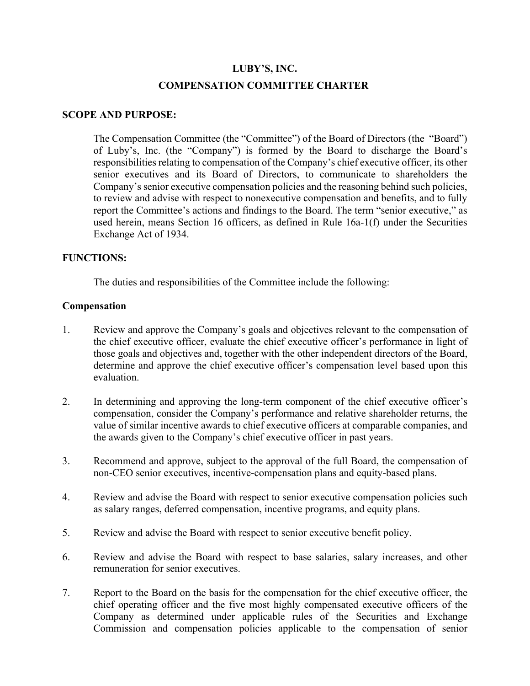# **LUBY'S, INC. COMPENSATION COMMITTEE CHARTER**

#### **SCOPE AND PURPOSE:**

The Compensation Committee (the "Committee") of the Board of Directors (the "Board") of Luby's, Inc. (the "Company") is formed by the Board to discharge the Board's responsibilities relating to compensation of the Company's chief executive officer, its other senior executives and its Board of Directors, to communicate to shareholders the Company's senior executive compensation policies and the reasoning behind such policies, to review and advise with respect to nonexecutive compensation and benefits, and to fully report the Committee's actions and findings to the Board. The term "senior executive," as used herein, means Section 16 officers, as defined in Rule 16a-1(f) under the Securities Exchange Act of 1934.

#### **FUNCTIONS:**

The duties and responsibilities of the Committee include the following:

#### **Compensation**

- 1. Review and approve the Company's goals and objectives relevant to the compensation of the chief executive officer, evaluate the chief executive officer's performance in light of those goals and objectives and, together with the other independent directors of the Board, determine and approve the chief executive officer's compensation level based upon this evaluation.
- 2. In determining and approving the long-term component of the chief executive officer's compensation, consider the Company's performance and relative shareholder returns, the value of similar incentive awards to chief executive officers at comparable companies, and the awards given to the Company's chief executive officer in past years.
- 3. Recommend and approve, subject to the approval of the full Board, the compensation of non-CEO senior executives, incentive-compensation plans and equity-based plans.
- 4. Review and advise the Board with respect to senior executive compensation policies such as salary ranges, deferred compensation, incentive programs, and equity plans.
- 5. Review and advise the Board with respect to senior executive benefit policy.
- 6. Review and advise the Board with respect to base salaries, salary increases, and other remuneration for senior executives.
- 7. Report to the Board on the basis for the compensation for the chief executive officer, the chief operating officer and the five most highly compensated executive officers of the Company as determined under applicable rules of the Securities and Exchange Commission and compensation policies applicable to the compensation of senior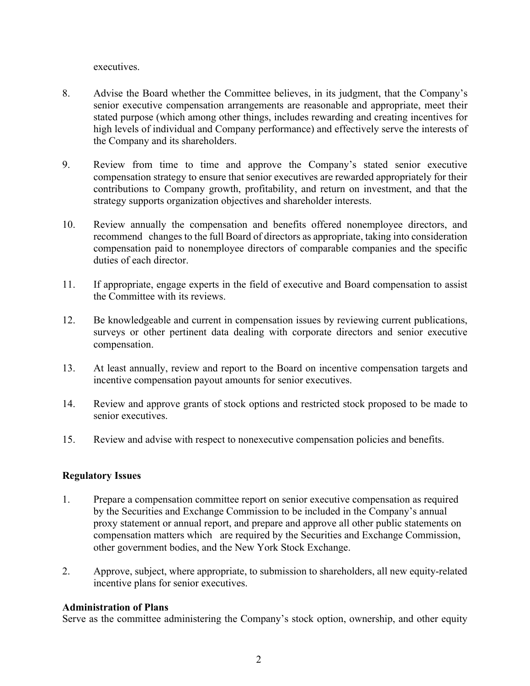executives.

- 8. Advise the Board whether the Committee believes, in its judgment, that the Company's senior executive compensation arrangements are reasonable and appropriate, meet their stated purpose (which among other things, includes rewarding and creating incentives for high levels of individual and Company performance) and effectively serve the interests of the Company and its shareholders.
- 9. Review from time to time and approve the Company's stated senior executive compensation strategy to ensure that senior executives are rewarded appropriately for their contributions to Company growth, profitability, and return on investment, and that the strategy supports organization objectives and shareholder interests.
- 10. Review annually the compensation and benefits offered nonemployee directors, and recommend changes to the full Board of directors as appropriate, taking into consideration compensation paid to nonemployee directors of comparable companies and the specific duties of each director.
- 11. If appropriate, engage experts in the field of executive and Board compensation to assist the Committee with its reviews.
- 12. Be knowledgeable and current in compensation issues by reviewing current publications, surveys or other pertinent data dealing with corporate directors and senior executive compensation.
- 13. At least annually, review and report to the Board on incentive compensation targets and incentive compensation payout amounts for senior executives.
- 14. Review and approve grants of stock options and restricted stock proposed to be made to senior executives.
- 15. Review and advise with respect to nonexecutive compensation policies and benefits.

## **Regulatory Issues**

- 1. Prepare a compensation committee report on senior executive compensation as required by the Securities and Exchange Commission to be included in the Company's annual proxy statement or annual report, and prepare and approve all other public statements on compensation matters which are required by the Securities and Exchange Commission, other government bodies, and the New York Stock Exchange.
- 2. Approve, subject, where appropriate, to submission to shareholders, all new equity-related incentive plans for senior executives.

## **Administration of Plans**

Serve as the committee administering the Company's stock option, ownership, and other equity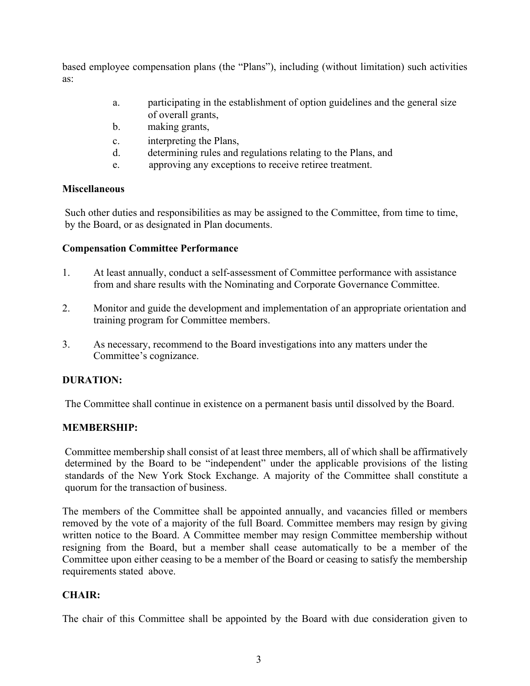based employee compensation plans (the "Plans"), including (without limitation) such activities as:

- a. participating in the establishment of option guidelines and the general size of overall grants,
- b. making grants,
- c. interpreting the Plans,
- d. determining rules and regulations relating to the Plans, and
- e. approving any exceptions to receive retiree treatment.

#### **Miscellaneous**

Such other duties and responsibilities as may be assigned to the Committee, from time to time, by the Board, or as designated in Plan documents.

## **Compensation Committee Performance**

- 1. At least annually, conduct a self-assessment of Committee performance with assistance from and share results with the Nominating and Corporate Governance Committee.
- 2. Monitor and guide the development and implementation of an appropriate orientation and training program for Committee members.
- 3. As necessary, recommend to the Board investigations into any matters under the Committee's cognizance.

## **DURATION:**

The Committee shall continue in existence on a permanent basis until dissolved by the Board.

## **MEMBERSHIP:**

Committee membership shall consist of at least three members, all of which shall be affirmatively determined by the Board to be "independent" under the applicable provisions of the listing standards of the New York Stock Exchange. A majority of the Committee shall constitute a quorum for the transaction of business.

The members of the Committee shall be appointed annually, and vacancies filled or members removed by the vote of a majority of the full Board. Committee members may resign by giving written notice to the Board. A Committee member may resign Committee membership without resigning from the Board, but a member shall cease automatically to be a member of the Committee upon either ceasing to be a member of the Board or ceasing to satisfy the membership requirements stated above.

## **CHAIR:**

The chair of this Committee shall be appointed by the Board with due consideration given to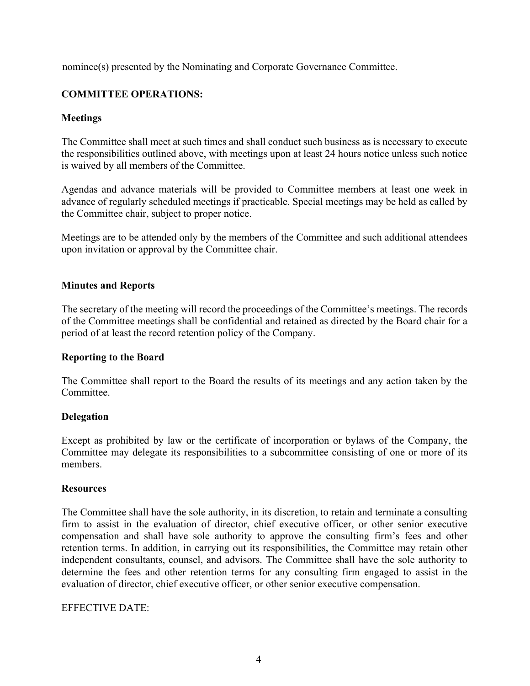nominee(s) presented by the Nominating and Corporate Governance Committee.

## **COMMITTEE OPERATIONS:**

## **Meetings**

The Committee shall meet at such times and shall conduct such business as is necessary to execute the responsibilities outlined above, with meetings upon at least 24 hours notice unless such notice is waived by all members of the Committee.

Agendas and advance materials will be provided to Committee members at least one week in advance of regularly scheduled meetings if practicable. Special meetings may be held as called by the Committee chair, subject to proper notice.

Meetings are to be attended only by the members of the Committee and such additional attendees upon invitation or approval by the Committee chair.

## **Minutes and Reports**

The secretary of the meeting will record the proceedings of the Committee's meetings. The records of the Committee meetings shall be confidential and retained as directed by the Board chair for a period of at least the record retention policy of the Company.

## **Reporting to the Board**

The Committee shall report to the Board the results of its meetings and any action taken by the Committee.

## **Delegation**

Except as prohibited by law or the certificate of incorporation or bylaws of the Company, the Committee may delegate its responsibilities to a subcommittee consisting of one or more of its members.

#### **Resources**

The Committee shall have the sole authority, in its discretion, to retain and terminate a consulting firm to assist in the evaluation of director, chief executive officer, or other senior executive compensation and shall have sole authority to approve the consulting firm's fees and other retention terms. In addition, in carrying out its responsibilities, the Committee may retain other independent consultants, counsel, and advisors. The Committee shall have the sole authority to determine the fees and other retention terms for any consulting firm engaged to assist in the evaluation of director, chief executive officer, or other senior executive compensation.

#### EFFECTIVE DATE: